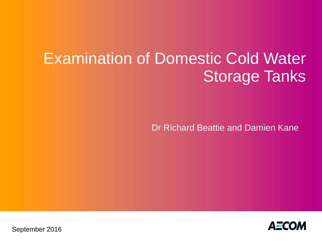# Examination of Domestic Cold Water Storage Tanks

Dr Richard Beattie and Damien Kane



September 2016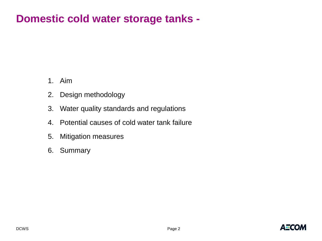#### **Domestic cold water storage tanks -**

- 1. Aim
- 2. Design methodology
- 3. Water quality standards and regulations
- 4. Potential causes of cold water tank failure
- 5. Mitigation measures
- 6. Summary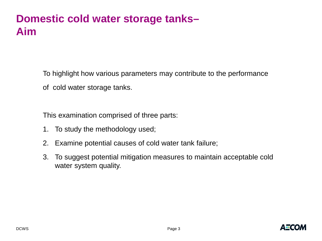#### **Domestic cold water storage tanks– Aim**

To highlight how various parameters may contribute to the performance

of cold water storage tanks.

This examination comprised of three parts:

- 1. To study the methodology used;
- 2. Examine potential causes of cold water tank failure;
- 3. To suggest potential mitigation measures to maintain acceptable cold water system quality.

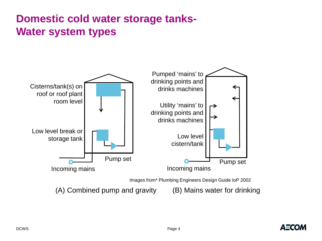# **Domestic cold water storage tanks-Water system types**



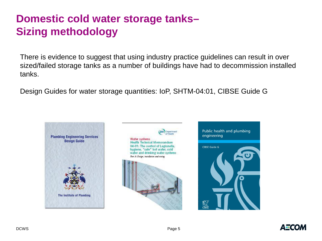# **Domestic cold water storage tanks– Sizing methodology**

There is evidence to suggest that using industry practice guidelines can result in over sized/failed storage tanks as a number of buildings have had to decommission installed tanks.

Design Guides for water storage quantities: IoP, SHTM-04:01, CIBSE Guide G



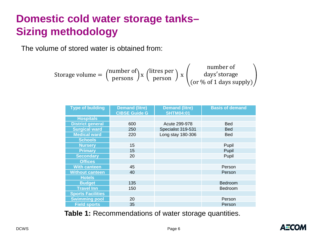# **Domestic cold water storage tanks– Sizing methodology**

The volume of stored water is obtained from:

Storage volume = 
$$
\begin{pmatrix} \text{number of} \\ \text{person} \end{pmatrix} x \begin{pmatrix} \text{litres per} \\ \text{person} \end{pmatrix} x \begin{pmatrix} \text{number of} \\ \text{days'storage} \\ (\text{or } \% \text{ of } 1 \text{ days supply}) \end{pmatrix}
$$

| <b>Type of building</b>  | <b>Demand (litre)</b><br><b>CIBSE Guide G</b> | <b>Demand (litre)</b><br><b>SHTM04:01</b> | <b>Basis of demand</b> |
|--------------------------|-----------------------------------------------|-------------------------------------------|------------------------|
| <b>Hospitals</b>         |                                               |                                           |                        |
| <b>District general</b>  | 600                                           | Acute 299-978                             | <b>Bed</b>             |
| <b>Surgical ward</b>     | 250                                           | Specialist 319-531                        | <b>Bed</b>             |
| <b>Medical ward</b>      | 220                                           | Long stay 180-306                         | <b>Bed</b>             |
| <b>Schools</b>           |                                               |                                           |                        |
| <b>Nursery</b>           | 15                                            |                                           | Pupil                  |
| <b>Primary</b>           | 15                                            |                                           | Pupil                  |
| <b>Secondary</b>         | 20                                            |                                           | Pupil                  |
| <b>Offices</b>           |                                               |                                           |                        |
| <b>With canteen</b>      | 45                                            |                                           | Person                 |
| <b>Without canteen</b>   | 40                                            |                                           | Person                 |
| <b>Hotels</b>            |                                               |                                           |                        |
| <b>Budget</b>            | 135                                           |                                           | Bedroom                |
| <b>Travel Inn</b>        | 150                                           |                                           | Bedroom                |
| <b>Sports Facilities</b> |                                               |                                           |                        |
| <b>Swimming pool</b>     | 20                                            |                                           | Person                 |
| <b>Field sports</b>      | 35                                            |                                           | Person                 |

**Table 1:** Recommendations of water storage quantities.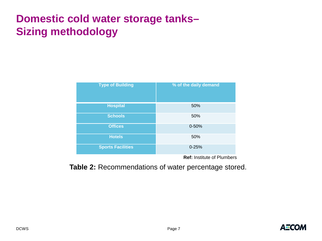# **Domestic cold water storage tanks– Sizing methodology**

| <b>Type of Building</b>  | % of the daily demand |  |
|--------------------------|-----------------------|--|
| <b>Hospital</b>          | 50%                   |  |
| <b>Schools</b>           | 50%                   |  |
| <b>Offices</b>           | $0 - 50%$             |  |
| <b>Hotels</b>            | 50%                   |  |
| <b>Sports Facilities</b> | $0 - 25%$             |  |

**Ref:** Institute of Plumbers

**Table 2:** Recommendations of water percentage stored.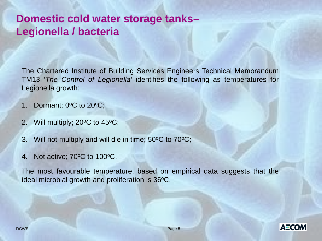#### **Domestic cold water storage tanks– Legionella / bacteria**

The Chartered Institute of Building Services Engineers Technical Memorandum TM13 '*The Control of Legionella'* identifies the following as temperatures for Legionella growth:

- 1. Dormant;  $0^{\circ}$ C to  $20^{\circ}$ C;
- 2. Will multiply;  $20^{\circ}$ C to  $45^{\circ}$ C;
- 3. Will not multiply and will die in time;  $50^{\circ}$ C to  $70^{\circ}$ C;
- 4. Not active: 70°C to 100°C.

The most favourable temperature, based on empirical data suggests that the ideal microbial growth and proliferation is  $36^{\circ}$ C.

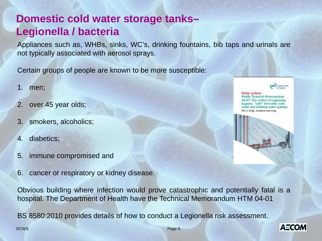### **Domestic cold water storage tanks– Legionella / bacteria**

Appliances such as, WHBs, sinks, WC's, drinking fountains, bib taps and urinals are not typically associated with aerosol sprays.

Certain groups of people are known to be more susceptible:

- 1. men;
- 2. over 45 year olds;
- 3. smokers, alcoholics;
- 4. diabetics;
- 5. immune compromised and
- 6. cancer or respiratory or kidney disease.

Obvious building where infection would prove catastrophic and potentially fatal is a hospital. The Department of Health have the Technical Memorandum HTM 04-01

BS 8580:2010 provides details of how to conduct a Legionella risk assessment.



**Vlater** systems Health Technical Memorandum 04-01: The control of Legionella. hygiene, "safe" hot water, cold water and drinking water systems Pare A: Design, installation and sessing



**AECOM** 

DCWS Page 9 (1995) And the state of the state of the state of the state of the state of the state of the state of the state of the state of the state of the state of the state of the state of the state of the state of the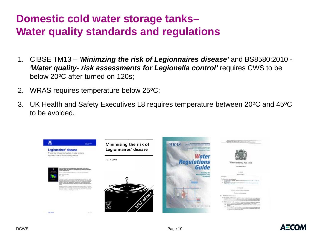### **Domestic cold water storage tanks– Water quality standards and regulations**

- 1. CIBSE TM13 *'Minimzing the risk of Legionnaires disease'* and BS8580:2010 *'Water quality- risk assessments for Legionella control'* requires CWS to be below 20°C after turned on 120s;
- 2. WRAS requires temperature below 25 °C;
- 3. UK Health and Safety Executives L8 requires temperature between 20°C and 45°C to be avoided.



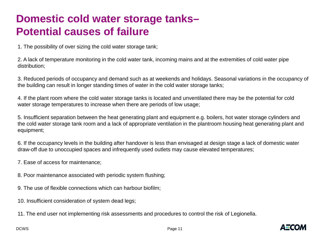### **Domestic cold water storage tanks– Potential causes of failure**

1. The possibility of over sizing the cold water storage tank;

2. A lack of temperature monitoring in the cold water tank, incoming mains and at the extremities of cold water pipe distribution;

3. Reduced periods of occupancy and demand such as at weekends and holidays. Seasonal variations in the occupancy of the building can result in longer standing times of water in the cold water storage tanks;

4. If the plant room where the cold water storage tanks is located and unventilated there may be the potential for cold water storage temperatures to increase when there are periods of low usage;

5. Insufficient separation between the heat generating plant and equipment e.g. boilers, hot water storage cylinders and the cold water storage tank room and a lack of appropriate ventilation in the plantroom housing heat generating plant and equipment;

6. If the occupancy levels in the building after handover is less than envisaged at design stage a lack of domestic water draw-off due to unoccupied spaces and infrequently used outlets may cause elevated temperatures;

7. Ease of access for maintenance;

8. Poor maintenance associated with periodic system flushing;

9. The use of flexible connections which can harbour biofilm;

10. Insufficient consideration of system dead legs;

11. The end user not implementing risk assessments and procedures to control the risk of Legionella.

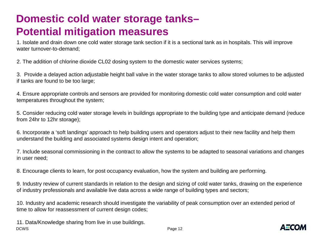# **Domestic cold water storage tanks– Potential mitigation measures**

1. Isolate and drain down one cold water storage tank section if it is a sectional tank as in hospitals. This will improve water turnover-to-demand;

2. The addition of chlorine dioxide CL02 dosing system to the domestic water services systems;

3. Provide a delayed action adjustable height ball valve in the water storage tanks to allow stored volumes to be adjusted if tanks are found to be too large;

4. Ensure appropriate controls and sensors are provided for monitoring domestic cold water consumption and cold water temperatures throughout the system;

5. Consider reducing cold water storage levels in buildings appropriate to the building type and anticipate demand (reduce from 24hr to 12hr storage);

6. Incorporate a 'soft landings' approach to help building users and operators adjust to their new facility and help them understand the building and associated systems design intent and operation;

7. Include seasonal commissioning in the contract to allow the systems to be adapted to seasonal variations and changes in user need;

8. Encourage clients to learn, for post occupancy evaluation, how the system and building are performing.

9. Industry review of current standards in relation to the design and sizing of cold water tanks, drawing on the experience of industry professionals and available live data across a wide range of building types and sectors;

10. Industry and academic research should investigate the variability of peak consumption over an extended period of time to allow for reassessment of current design codes;

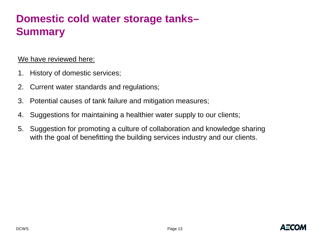# **Domestic cold water storage tanks– Summary**

#### We have reviewed here:

- 1. History of domestic services;
- 2. Current water standards and regulations;
- 3. Potential causes of tank failure and mitigation measures;
- 4. Suggestions for maintaining a healthier water supply to our clients;
- 5. Suggestion for promoting a culture of collaboration and knowledge sharing with the goal of benefitting the building services industry and our clients.